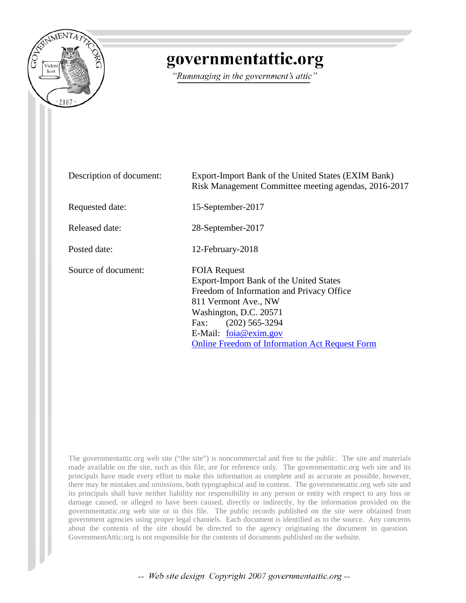

# governmentattic.org

"Rummaging in the government's attic"

| Description of document: | Export-Import Bank of the United States (EXIM Bank)<br>Risk Management Committee meeting agendas, 2016-2017                                                                                                                                                                 |
|--------------------------|-----------------------------------------------------------------------------------------------------------------------------------------------------------------------------------------------------------------------------------------------------------------------------|
| Requested date:          | 15-September-2017                                                                                                                                                                                                                                                           |
| Released date:           | 28-September-2017                                                                                                                                                                                                                                                           |
| Posted date:             | 12-February-2018                                                                                                                                                                                                                                                            |
| Source of document:      | <b>FOIA Request</b><br>Export-Import Bank of the United States<br>Freedom of Information and Privacy Office<br>811 Vermont Ave., NW<br>Washington, D.C. 20571<br>$(202)$ 565-3294<br>Fax:<br>E-Mail: foia@exim.gov<br><b>Online Freedom of Information Act Request Form</b> |

The governmentattic.org web site ("the site") is noncommercial and free to the public. The site and materials made available on the site, such as this file, are for reference only. The governmentattic.org web site and its principals have made every effort to make this information as complete and as accurate as possible, however, there may be mistakes and omissions, both typographical and in content. The governmentattic.org web site and its principals shall have neither liability nor responsibility to any person or entity with respect to any loss or damage caused, or alleged to have been caused, directly or indirectly, by the information provided on the governmentattic.org web site or in this file. The public records published on the site were obtained from government agencies using proper legal channels. Each document is identified as to the source. Any concerns about the contents of the site should be directed to the agency originating the document in question. GovernmentAttic.org is not responsible for the contents of documents published on the website.

-- Web site design Copyright 2007 governmentattic.org --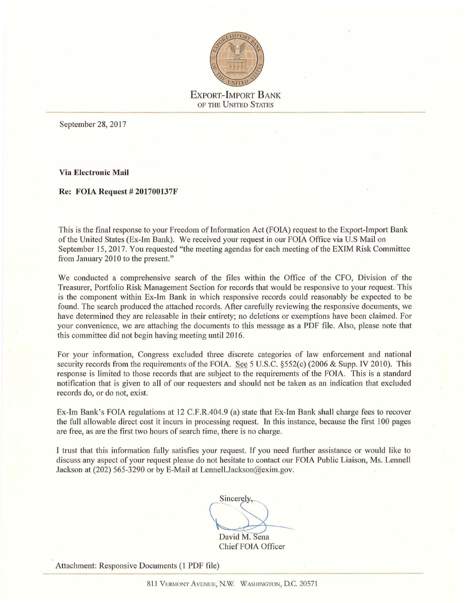

September 28, 2017

**Via Electronic Mail** 

**Re: FOIA Request# 201700137F** 

This is the final response to your Freedom of Information Act (FOIA) request to the Export-Import Bank of the United States (Ex-Im Bank). We received your request in our FOIA Office via U.S Mail on September 15, 2017. You requested "the meeting agendas for each meeting of the EXIM Risk Committee from January 2010 to the present."

We conducted a comprehensive search of the files within the Office of the CFO, Division of the Treasurer, Portfolio Risk Management Section for records that would be responsive to your request. This is the component within Ex-Im Bank in which responsive records could reasonably be expected to be found. The search produced the attached records. After carefully reviewing the responsive documents, we have determined they are releasable in their entirety; no deletions or exemptions have been claimed. For your convenience, we are attaching the documents to this message as a PDF file. Also, please note that this committee did not begin having meeting until 2016.

For your information, Congress excluded three discrete categories of law enforcement and national security records from the requirements of the FOIA. See 5 U.S.C. §552(c) (2006 & Supp. IV 2010). This response is limited to those records that are subject to the requirements of the FOIA. This is a standard notification that is given to all of our requesters and should not be taken as an indication that excluded records do, or do not, exist.

Ex-Im Bank's FOIA regulations at 12 C.F.R.404.9 (a) state that Ex-Im Bank shall charge fees to recover the full allowable direct cost it incurs in processing request. In this instance, because the first l 00 pages are free, as are the first two hours of search time, there is no charge.

I trust that this information fully satisfies your request. If you need further assistance or would like to discuss any aspect of your request please do not hesitate to contact our FOIA Public Liaison, Ms. Lennell Jackson at (202) 565-3290 or by E-Mail at Lennell.Jackson@exim.gov.

Sincerely, David M. Sena

Chief FOTA Officer

Attachment: Responsive Documents (1 PDF file)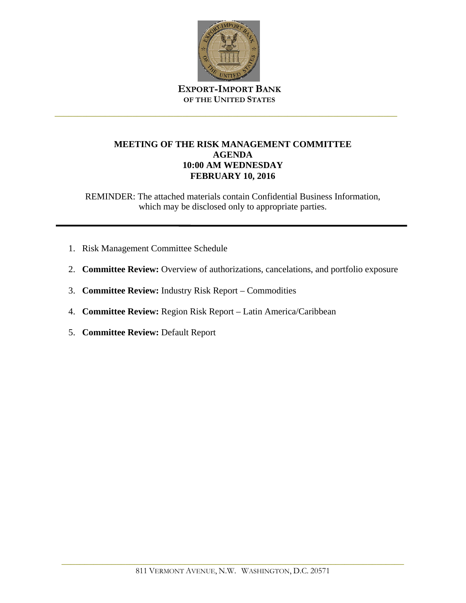

\_\_\_\_\_\_\_\_\_\_\_\_\_\_\_\_\_\_\_\_\_\_\_\_\_\_\_\_\_\_\_\_\_\_\_\_\_\_\_\_\_\_\_\_\_\_\_\_\_\_\_\_\_\_\_\_\_\_\_\_\_\_\_\_\_\_\_\_\_\_\_\_\_\_\_

## **MEETING OF THE RISK MANAGEMENT COMMITTEE AGENDA 10:00 AM WEDNESDAY FEBRUARY 10, 2016**

- 1. Risk Management Committee Schedule
- 2. **Committee Review:** Overview of authorizations, cancelations, and portfolio exposure
- 3. **Committee Review:** Industry Risk Report Commodities
- 4. **Committee Review:** Region Risk Report Latin America/Caribbean
- 5. **Committee Review:** Default Report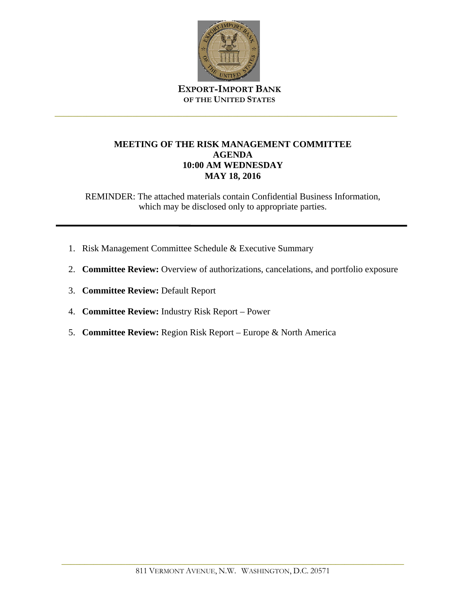

\_\_\_\_\_\_\_\_\_\_\_\_\_\_\_\_\_\_\_\_\_\_\_\_\_\_\_\_\_\_\_\_\_\_\_\_\_\_\_\_\_\_\_\_\_\_\_\_\_\_\_\_\_\_\_\_\_\_\_\_\_\_\_\_\_\_\_\_\_\_\_\_\_\_\_

## **MEETING OF THE RISK MANAGEMENT COMMITTEE AGENDA 10:00 AM WEDNESDAY MAY 18, 2016**

- 1. Risk Management Committee Schedule & Executive Summary
- 2. **Committee Review:** Overview of authorizations, cancelations, and portfolio exposure
- 3. **Committee Review:** Default Report
- 4. **Committee Review:** Industry Risk Report Power
- 5. **Committee Review:** Region Risk Report Europe & North America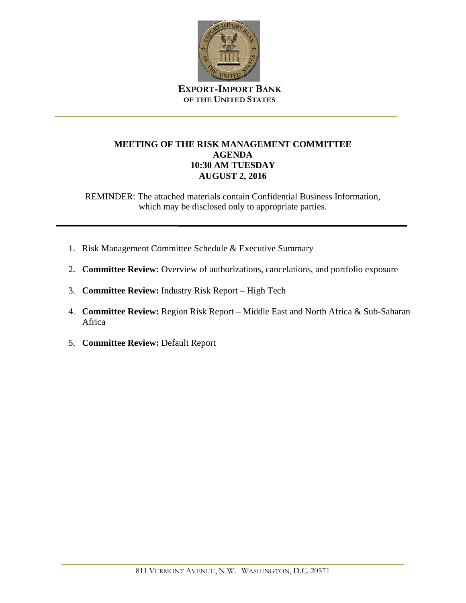

\_\_\_\_\_\_\_\_\_\_\_\_\_\_\_\_\_\_\_\_\_\_\_\_\_\_\_\_\_\_\_\_\_\_\_\_\_\_\_\_\_\_\_\_\_\_\_\_\_\_\_\_\_\_\_\_\_\_\_\_\_\_\_\_\_\_\_\_\_\_\_\_\_\_\_

## **MEETING OF THE RISK MANAGEMENT COMMITTEE AGENDA 10:30 AM TUESDAY AUGUST 2, 2016**

- 1. Risk Management Committee Schedule & Executive Summary
- 2. **Committee Review:** Overview of authorizations, cancelations, and portfolio exposure
- 3. **Committee Review:** Industry Risk Report High Tech
- 4. **Committee Review:** Region Risk Report Middle East and North Africa & Sub-Saharan Africa
- 5. **Committee Review:** Default Report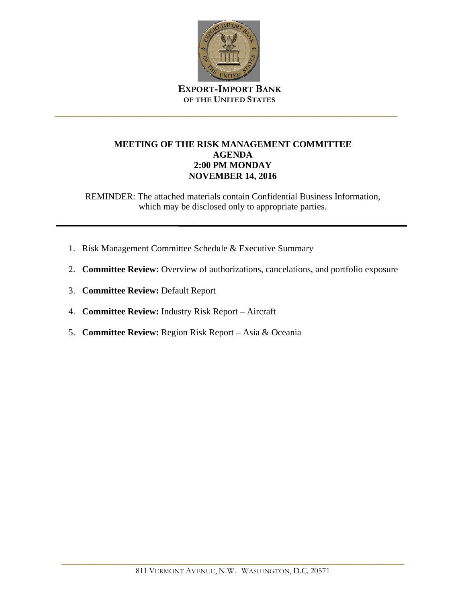

\_\_\_\_\_\_\_\_\_\_\_\_\_\_\_\_\_\_\_\_\_\_\_\_\_\_\_\_\_\_\_\_\_\_\_\_\_\_\_\_\_\_\_\_\_\_\_\_\_\_\_\_\_\_\_\_\_\_\_\_\_\_\_\_\_\_\_\_\_\_\_\_\_\_\_

## **MEETING OF THE RISK MANAGEMENT COMMITTEE AGENDA 2:00 PM MONDAY NOVEMBER 14, 2016**

- 1. Risk Management Committee Schedule & Executive Summary
- 2. **Committee Review:** Overview of authorizations, cancelations, and portfolio exposure
- 3. **Committee Review:** Default Report
- 4. **Committee Review:** Industry Risk Report Aircraft
- 5. **Committee Review:** Region Risk Report Asia & Oceania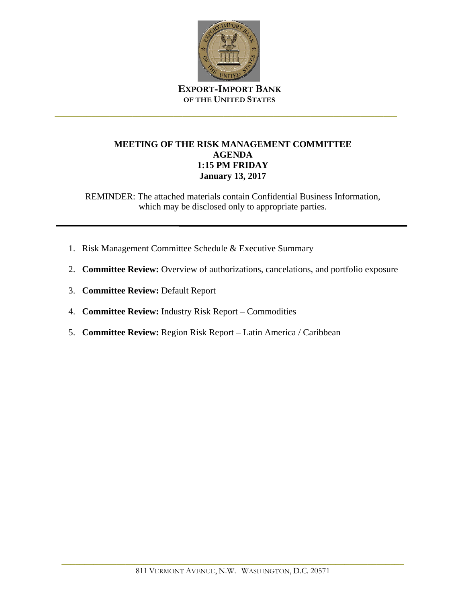

\_\_\_\_\_\_\_\_\_\_\_\_\_\_\_\_\_\_\_\_\_\_\_\_\_\_\_\_\_\_\_\_\_\_\_\_\_\_\_\_\_\_\_\_\_\_\_\_\_\_\_\_\_\_\_\_\_\_\_\_\_\_\_\_\_\_\_\_\_\_\_\_\_\_\_

## **MEETING OF THE RISK MANAGEMENT COMMITTEE AGENDA 1:15 PM FRIDAY January 13, 2017**

- 1. Risk Management Committee Schedule & Executive Summary
- 2. **Committee Review:** Overview of authorizations, cancelations, and portfolio exposure
- 3. **Committee Review:** Default Report
- 4. **Committee Review:** Industry Risk Report Commodities
- 5. **Committee Review:** Region Risk Report Latin America / Caribbean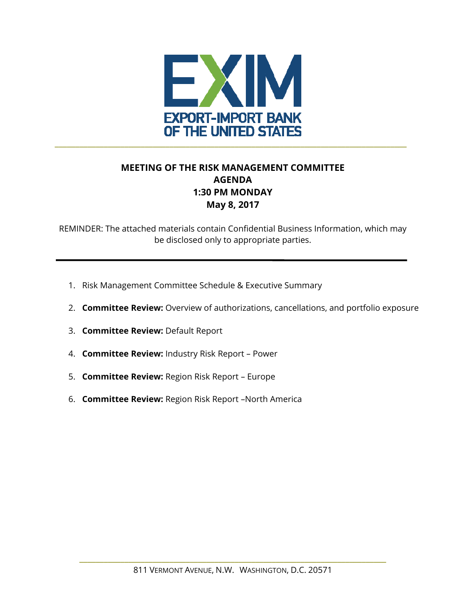

# **MEETING OF THE RISK MANAGEMENT COMMITTEE AGENDA 1:30 PM MONDAY May 8, 2017**

- 1. Risk Management Committee Schedule & Executive Summary
- 2. **Committee Review:** Overview of authorizations, cancellations, and portfolio exposure
- 3. **Committee Review:** Default Report
- 4. **Committee Review:** Industry Risk Report Power
- 5. **Committee Review:** Region Risk Report Europe
- 6. **Committee Review:** Region Risk Report –North America